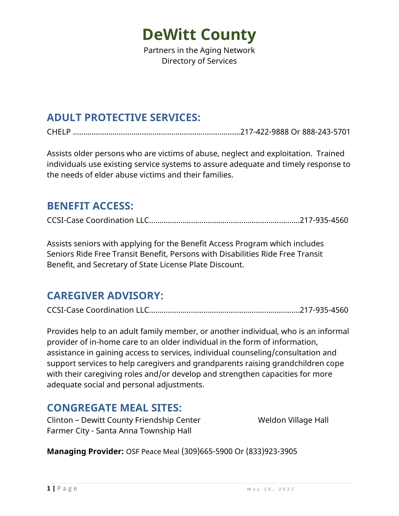Partners in the Aging Network Directory of Services

### **ADULT PROTECTIVE SERVICES:**

CHELP ………………………………….………….……………...…..….217-422-9888 Or 888-243-5701

Assists older persons who are victims of abuse, neglect and exploitation. Trained individuals use existing service systems to assure adequate and timely response to the needs of elder abuse victims and their families.

#### **BENEFIT ACCESS:**

CCSI-Case Coordination LLC….………….………………………………………….…...217-935-4560

Assists seniors with applying for the Benefit Access Program which includes Seniors Ride Free Transit Benefit, Persons with Disabilities Ride Free Transit Benefit, and Secretary of State License Plate Discount.

### **CAREGIVER ADVISORY:**

CCSI-Case Coordination LLC….………….………………………………………….…...217-935-4560

Provides help to an adult family member, or another individual, who is an informal provider of in-home care to an older individual in the form of information, assistance in gaining access to services, individual counseling/consultation and support services to help caregivers and grandparents raising grandchildren cope with their caregiving roles and/or develop and strengthen capacities for more adequate social and personal adjustments.

#### **CONGREGATE MEAL SITES:**

Clinton – Dewitt County Friendship Center Weldon Village Hall Farmer City - Santa Anna Township Hall

**Managing Provider:** OSF Peace Meal (309)665-5900 Or (833)923-3905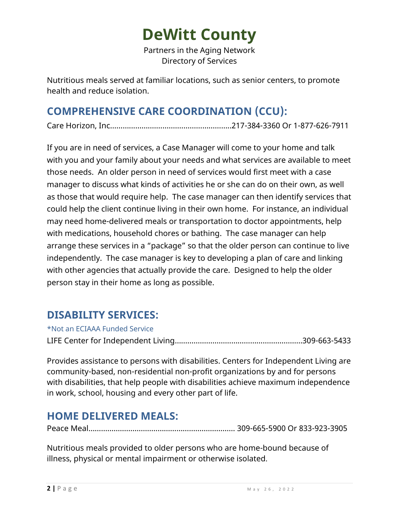Partners in the Aging Network Directory of Services

Nutritious meals served at familiar locations, such as senior centers, to promote health and reduce isolation.

### **COMPREHENSIVE CARE COORDINATION (CCU):**

Care Horizon, Inc………...……….………….…………………..217-384-3360 Or 1-877-626-7911

If you are in need of services, a Case Manager will come to your home and talk with you and your family about your needs and what services are available to meet those needs. An older person in need of services would first meet with a case manager to discuss what kinds of activities he or she can do on their own, as well as those that would require help. The case manager can then identify services that could help the client continue living in their own home. For instance, an individual may need home-delivered meals or transportation to doctor appointments, help with medications, household chores or bathing. The case manager can help arrange these services in a "package" so that the older person can continue to live independently. The case manager is key to developing a plan of care and linking with other agencies that actually provide the care. Designed to help the older person stay in their home as long as possible.

### **DISABILITY SERVICES:**

\*Not an ECIAAA Funded Service

LIFE Center for Independent Living…………………………………………………….309-663-5433

Provides assistance to persons with disabilities. Centers for Independent Living are community-based, non-residential non-profit organizations by and for persons with disabilities, that help people with disabilities achieve maximum independence in work, school, housing and every other part of life.

### **HOME DELIVERED MEALS:**

Peace Meal……………………………………………………………. 309-665-5900 Or 833-923-3905

Nutritious meals provided to older persons who are home-bound because of illness, physical or mental impairment or otherwise isolated.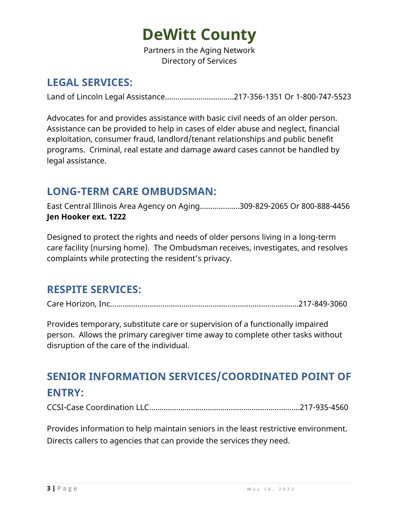Partners in the Aging Network Directory of Services

### **LEGAL SERVICES:**

Land of Lincoln Legal Assistance……………………………217-356-1351 Or 1-800-747-5523

Advocates for and provides assistance with basic civil needs of an older person. Assistance can be provided to help in cases of elder abuse and neglect, financial exploitation, consumer fraud, landlord/tenant relationships and public benefit programs. Criminal, real estate and damage award cases cannot be handled by legal assistance.

#### **LONG-TERM CARE OMBUDSMAN:**

East Central Illinois Area Agency on Aging…….………...309-829-2065 Or 800-888-4456 **Jen Hooker ext. 1222**

Designed to protect the rights and needs of older persons living in a long-term care facility (nursing home). The Ombudsman receives, investigates, and resolves complaints while protecting the resident's privacy.

#### **RESPITE SERVICES:**

Care Horizon, Inc……….……….………….……………………………………….………..217-849-3060

Provides temporary, substitute care or supervision of a functionally impaired person. Allows the primary caregiver time away to complete other tasks without disruption of the care of the individual.

## **SENIOR INFORMATION SERVICES/COORDINATED POINT OF ENTRY:**

CCSI-Case Coordination LLC….………….………………………………………….…...217-935-4560

Provides information to help maintain seniors in the least restrictive environment. Directs callers to agencies that can provide the services they need.